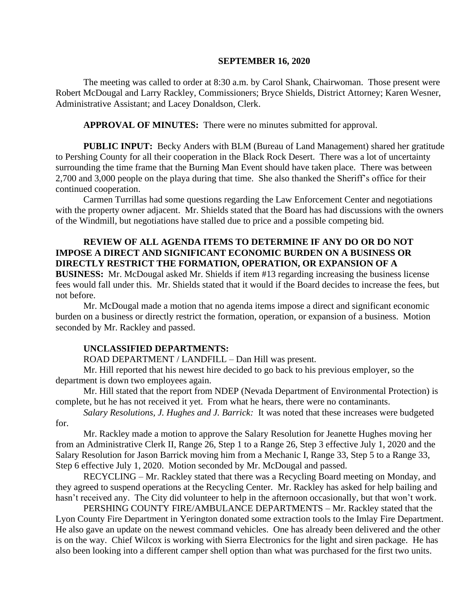## **SEPTEMBER 16, 2020**

The meeting was called to order at 8:30 a.m. by Carol Shank, Chairwoman. Those present were Robert McDougal and Larry Rackley, Commissioners; Bryce Shields, District Attorney; Karen Wesner, Administrative Assistant; and Lacey Donaldson, Clerk.

**APPROVAL OF MINUTES:** There were no minutes submitted for approval.

**PUBLIC INPUT:** Becky Anders with BLM (Bureau of Land Management) shared her gratitude to Pershing County for all their cooperation in the Black Rock Desert. There was a lot of uncertainty surrounding the time frame that the Burning Man Event should have taken place. There was between 2,700 and 3,000 people on the playa during that time. She also thanked the Sheriff's office for their continued cooperation.

Carmen Turrillas had some questions regarding the Law Enforcement Center and negotiations with the property owner adjacent. Mr. Shields stated that the Board has had discussions with the owners of the Windmill, but negotiations have stalled due to price and a possible competing bid.

## **REVIEW OF ALL AGENDA ITEMS TO DETERMINE IF ANY DO OR DO NOT IMPOSE A DIRECT AND SIGNIFICANT ECONOMIC BURDEN ON A BUSINESS OR DIRECTLY RESTRICT THE FORMATION, OPERATION, OR EXPANSION OF A BUSINESS:** Mr. McDougal asked Mr. Shields if item #13 regarding increasing the business license

fees would fall under this. Mr. Shields stated that it would if the Board decides to increase the fees, but not before.

Mr. McDougal made a motion that no agenda items impose a direct and significant economic burden on a business or directly restrict the formation, operation, or expansion of a business. Motion seconded by Mr. Rackley and passed.

## **UNCLASSIFIED DEPARTMENTS:**

ROAD DEPARTMENT / LANDFILL – Dan Hill was present.

Mr. Hill reported that his newest hire decided to go back to his previous employer, so the department is down two employees again.

Mr. Hill stated that the report from NDEP (Nevada Department of Environmental Protection) is complete, but he has not received it yet. From what he hears, there were no contaminants.

*Salary Resolutions, J. Hughes and J. Barrick:* It was noted that these increases were budgeted for.

Mr. Rackley made a motion to approve the Salary Resolution for Jeanette Hughes moving her from an Administrative Clerk II, Range 26, Step 1 to a Range 26, Step 3 effective July 1, 2020 and the Salary Resolution for Jason Barrick moving him from a Mechanic I, Range 33, Step 5 to a Range 33, Step 6 effective July 1, 2020. Motion seconded by Mr. McDougal and passed.

RECYCLING – Mr. Rackley stated that there was a Recycling Board meeting on Monday, and they agreed to suspend operations at the Recycling Center. Mr. Rackley has asked for help bailing and hasn't received any. The City did volunteer to help in the afternoon occasionally, but that won't work.

PERSHING COUNTY FIRE/AMBULANCE DEPARTMENTS – Mr. Rackley stated that the Lyon County Fire Department in Yerington donated some extraction tools to the Imlay Fire Department. He also gave an update on the newest command vehicles. One has already been delivered and the other is on the way. Chief Wilcox is working with Sierra Electronics for the light and siren package. He has also been looking into a different camper shell option than what was purchased for the first two units.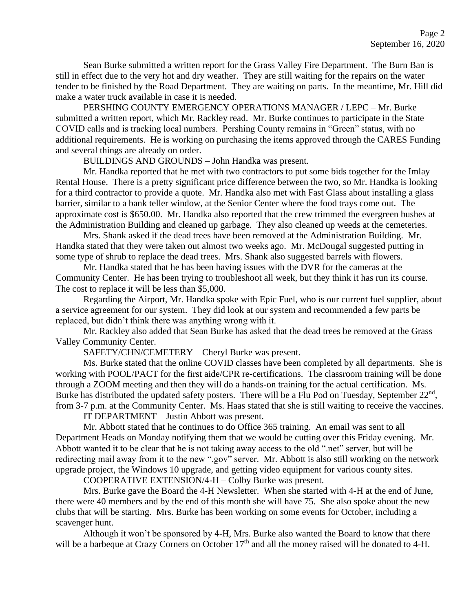Sean Burke submitted a written report for the Grass Valley Fire Department. The Burn Ban is still in effect due to the very hot and dry weather. They are still waiting for the repairs on the water tender to be finished by the Road Department. They are waiting on parts. In the meantime, Mr. Hill did make a water truck available in case it is needed.

PERSHING COUNTY EMERGENCY OPERATIONS MANAGER / LEPC – Mr. Burke submitted a written report, which Mr. Rackley read. Mr. Burke continues to participate in the State COVID calls and is tracking local numbers. Pershing County remains in "Green" status, with no additional requirements. He is working on purchasing the items approved through the CARES Funding and several things are already on order.

BUILDINGS AND GROUNDS – John Handka was present.

Mr. Handka reported that he met with two contractors to put some bids together for the Imlay Rental House. There is a pretty significant price difference between the two, so Mr. Handka is looking for a third contractor to provide a quote. Mr. Handka also met with Fast Glass about installing a glass barrier, similar to a bank teller window, at the Senior Center where the food trays come out. The approximate cost is \$650.00. Mr. Handka also reported that the crew trimmed the evergreen bushes at the Administration Building and cleaned up garbage. They also cleaned up weeds at the cemeteries.

Mrs. Shank asked if the dead trees have been removed at the Administration Building. Mr. Handka stated that they were taken out almost two weeks ago. Mr. McDougal suggested putting in some type of shrub to replace the dead trees. Mrs. Shank also suggested barrels with flowers.

Mr. Handka stated that he has been having issues with the DVR for the cameras at the Community Center. He has been trying to troubleshoot all week, but they think it has run its course. The cost to replace it will be less than \$5,000.

Regarding the Airport, Mr. Handka spoke with Epic Fuel, who is our current fuel supplier, about a service agreement for our system. They did look at our system and recommended a few parts be replaced, but didn't think there was anything wrong with it.

Mr. Rackley also added that Sean Burke has asked that the dead trees be removed at the Grass Valley Community Center.

SAFETY/CHN/CEMETERY – Cheryl Burke was present.

Ms. Burke stated that the online COVID classes have been completed by all departments. She is working with POOL/PACT for the first aide/CPR re-certifications. The classroom training will be done through a ZOOM meeting and then they will do a hands-on training for the actual certification. Ms. Burke has distributed the updated safety posters. There will be a Flu Pod on Tuesday, September 22<sup>nd</sup>, from 3-7 p.m. at the Community Center. Ms. Haas stated that she is still waiting to receive the vaccines.

IT DEPARTMENT – Justin Abbott was present.

Mr. Abbott stated that he continues to do Office 365 training. An email was sent to all Department Heads on Monday notifying them that we would be cutting over this Friday evening. Mr. Abbott wanted it to be clear that he is not taking away access to the old ".net" server, but will be redirecting mail away from it to the new ".gov" server. Mr. Abbott is also still working on the network upgrade project, the Windows 10 upgrade, and getting video equipment for various county sites.

COOPERATIVE EXTENSION/4-H – Colby Burke was present.

Mrs. Burke gave the Board the 4-H Newsletter. When she started with 4-H at the end of June, there were 40 members and by the end of this month she will have 75. She also spoke about the new clubs that will be starting. Mrs. Burke has been working on some events for October, including a scavenger hunt.

Although it won't be sponsored by 4-H, Mrs. Burke also wanted the Board to know that there will be a barbeque at Crazy Corners on October 17<sup>th</sup> and all the money raised will be donated to 4-H.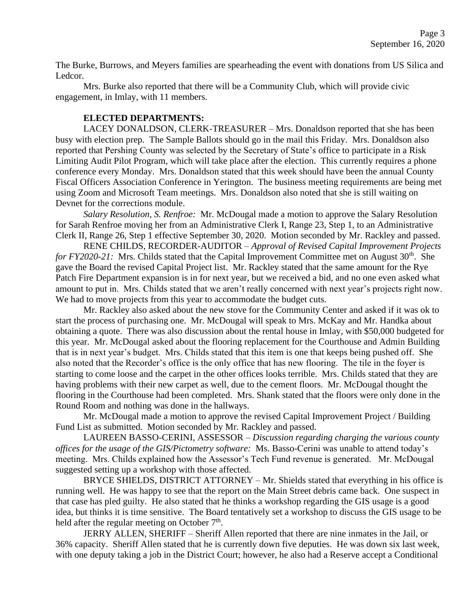The Burke, Burrows, and Meyers families are spearheading the event with donations from US Silica and Ledcor.

Mrs. Burke also reported that there will be a Community Club, which will provide civic engagement, in Imlay, with 11 members.

## **ELECTED DEPARTMENTS:**

LACEY DONALDSON, CLERK-TREASURER – Mrs. Donaldson reported that she has been busy with election prep. The Sample Ballots should go in the mail this Friday. Mrs. Donaldson also reported that Pershing County was selected by the Secretary of State's office to participate in a Risk Limiting Audit Pilot Program, which will take place after the election. This currently requires a phone conference every Monday. Mrs. Donaldson stated that this week should have been the annual County Fiscal Officers Association Conference in Yerington. The business meeting requirements are being met using Zoom and Microsoft Team meetings. Mrs. Donaldson also noted that she is still waiting on Devnet for the corrections module.

*Salary Resolution, S. Renfroe:* Mr. McDougal made a motion to approve the Salary Resolution for Sarah Renfroe moving her from an Administrative Clerk I, Range 23, Step 1, to an Administrative Clerk II, Range 26, Step 1 effective September 30, 2020. Motion seconded by Mr. Rackley and passed.

RENE CHILDS, RECORDER-AUDITOR – *Approval of Revised Capital Improvement Projects for FY2020-21:* Mrs. Childs stated that the Capital Improvement Committee met on August 30<sup>th</sup>. She gave the Board the revised Capital Project list. Mr. Rackley stated that the same amount for the Rye Patch Fire Department expansion is in for next year, but we received a bid, and no one even asked what amount to put in. Mrs. Childs stated that we aren't really concerned with next year's projects right now. We had to move projects from this year to accommodate the budget cuts.

Mr. Rackley also asked about the new stove for the Community Center and asked if it was ok to start the process of purchasing one. Mr. McDougal will speak to Mrs. McKay and Mr. Handka about obtaining a quote. There was also discussion about the rental house in Imlay, with \$50,000 budgeted for this year. Mr. McDougal asked about the flooring replacement for the Courthouse and Admin Building that is in next year's budget. Mrs. Childs stated that this item is one that keeps being pushed off. She also noted that the Recorder's office is the only office that has new flooring. The tile in the foyer is starting to come loose and the carpet in the other offices looks terrible. Mrs. Childs stated that they are having problems with their new carpet as well, due to the cement floors. Mr. McDougal thought the flooring in the Courthouse had been completed. Mrs. Shank stated that the floors were only done in the Round Room and nothing was done in the hallways.

Mr. McDougal made a motion to approve the revised Capital Improvement Project / Building Fund List as submitted. Motion seconded by Mr. Rackley and passed.

LAUREEN BASSO-CERINI, ASSESSOR – *Discussion regarding charging the various county offices for the usage of the GIS/Pictometry software:* Ms. Basso-Cerini was unable to attend today's meeting. Mrs. Childs explained how the Assessor's Tech Fund revenue is generated. Mr. McDougal suggested setting up a workshop with those affected.

BRYCE SHIELDS, DISTRICT ATTORNEY – Mr. Shields stated that everything in his office is running well. He was happy to see that the report on the Main Street debris came back. One suspect in that case has pled guilty. He also stated that he thinks a workshop regarding the GIS usage is a good idea, but thinks it is time sensitive. The Board tentatively set a workshop to discuss the GIS usage to be held after the regular meeting on October  $7<sup>th</sup>$ .

JERRY ALLEN, SHERIFF – Sheriff Allen reported that there are nine inmates in the Jail, or 36% capacity. Sheriff Allen stated that he is currently down five deputies. He was down six last week, with one deputy taking a job in the District Court; however, he also had a Reserve accept a Conditional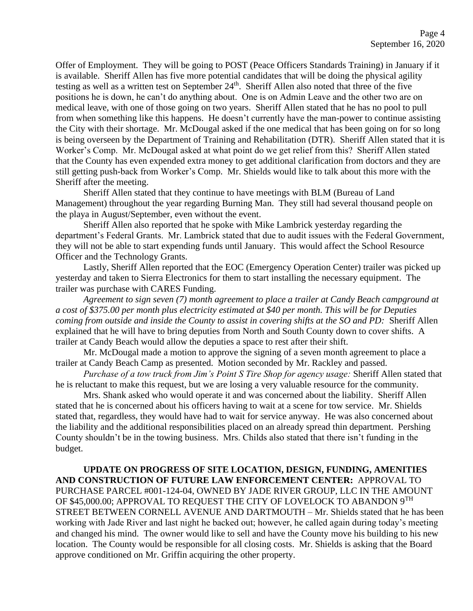Offer of Employment. They will be going to POST (Peace Officers Standards Training) in January if it is available. Sheriff Allen has five more potential candidates that will be doing the physical agility testing as well as a written test on September 24<sup>th</sup>. Sheriff Allen also noted that three of the five positions he is down, he can't do anything about. One is on Admin Leave and the other two are on medical leave, with one of those going on two years. Sheriff Allen stated that he has no pool to pull from when something like this happens. He doesn't currently have the man-power to continue assisting the City with their shortage. Mr. McDougal asked if the one medical that has been going on for so long is being overseen by the Department of Training and Rehabilitation (DTR). Sheriff Allen stated that it is Worker's Comp. Mr. McDougal asked at what point do we get relief from this? Sheriff Allen stated that the County has even expended extra money to get additional clarification from doctors and they are still getting push-back from Worker's Comp. Mr. Shields would like to talk about this more with the Sheriff after the meeting.

Sheriff Allen stated that they continue to have meetings with BLM (Bureau of Land Management) throughout the year regarding Burning Man. They still had several thousand people on the playa in August/September, even without the event.

Sheriff Allen also reported that he spoke with Mike Lambrick yesterday regarding the department's Federal Grants. Mr. Lambrick stated that due to audit issues with the Federal Government, they will not be able to start expending funds until January. This would affect the School Resource Officer and the Technology Grants.

Lastly, Sheriff Allen reported that the EOC (Emergency Operation Center) trailer was picked up yesterday and taken to Sierra Electronics for them to start installing the necessary equipment. The trailer was purchase with CARES Funding.

*Agreement to sign seven (7) month agreement to place a trailer at Candy Beach campground at a cost of \$375.00 per month plus electricity estimated at \$40 per month. This will be for Deputies coming from outside and inside the County to assist in covering shifts at the SO and PD:* Sheriff Allen explained that he will have to bring deputies from North and South County down to cover shifts. A trailer at Candy Beach would allow the deputies a space to rest after their shift.

Mr. McDougal made a motion to approve the signing of a seven month agreement to place a trailer at Candy Beach Camp as presented. Motion seconded by Mr. Rackley and passed.

*Purchase of a tow truck from Jim's Point S Tire Shop for agency usage:* Sheriff Allen stated that he is reluctant to make this request, but we are losing a very valuable resource for the community.

Mrs. Shank asked who would operate it and was concerned about the liability. Sheriff Allen stated that he is concerned about his officers having to wait at a scene for tow service. Mr. Shields stated that, regardless, they would have had to wait for service anyway. He was also concerned about the liability and the additional responsibilities placed on an already spread thin department. Pershing County shouldn't be in the towing business. Mrs. Childs also stated that there isn't funding in the budget.

**UPDATE ON PROGRESS OF SITE LOCATION, DESIGN, FUNDING, AMENITIES AND CONSTRUCTION OF FUTURE LAW ENFORCEMENT CENTER:** APPROVAL TO PURCHASE PARCEL #001-124-04, OWNED BY JADE RIVER GROUP, LLC IN THE AMOUNT OF \$45,000.00; APPROVAL TO REQUEST THE CITY OF LOVELOCK TO ABANDON 9TH STREET BETWEEN CORNELL AVENUE AND DARTMOUTH – Mr. Shields stated that he has been working with Jade River and last night he backed out; however, he called again during today's meeting and changed his mind. The owner would like to sell and have the County move his building to his new location. The County would be responsible for all closing costs. Mr. Shields is asking that the Board approve conditioned on Mr. Griffin acquiring the other property.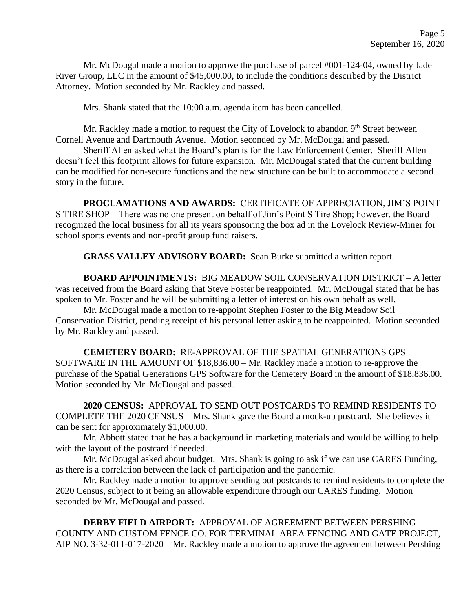Mr. McDougal made a motion to approve the purchase of parcel #001-124-04, owned by Jade River Group, LLC in the amount of \$45,000.00, to include the conditions described by the District Attorney. Motion seconded by Mr. Rackley and passed.

Mrs. Shank stated that the 10:00 a.m. agenda item has been cancelled.

Mr. Rackley made a motion to request the City of Lovelock to abandon 9<sup>th</sup> Street between Cornell Avenue and Dartmouth Avenue. Motion seconded by Mr. McDougal and passed.

Sheriff Allen asked what the Board's plan is for the Law Enforcement Center. Sheriff Allen doesn't feel this footprint allows for future expansion. Mr. McDougal stated that the current building can be modified for non-secure functions and the new structure can be built to accommodate a second story in the future.

**PROCLAMATIONS AND AWARDS:** CERTIFICATE OF APPRECIATION, JIM'S POINT S TIRE SHOP – There was no one present on behalf of Jim's Point S Tire Shop; however, the Board recognized the local business for all its years sponsoring the box ad in the Lovelock Review-Miner for school sports events and non-profit group fund raisers.

**GRASS VALLEY ADVISORY BOARD:** Sean Burke submitted a written report.

**BOARD APPOINTMENTS:** BIG MEADOW SOIL CONSERVATION DISTRICT – A letter was received from the Board asking that Steve Foster be reappointed. Mr. McDougal stated that he has spoken to Mr. Foster and he will be submitting a letter of interest on his own behalf as well.

Mr. McDougal made a motion to re-appoint Stephen Foster to the Big Meadow Soil Conservation District, pending receipt of his personal letter asking to be reappointed. Motion seconded by Mr. Rackley and passed.

**CEMETERY BOARD:** RE-APPROVAL OF THE SPATIAL GENERATIONS GPS SOFTWARE IN THE AMOUNT OF \$18,836.00 – Mr. Rackley made a motion to re-approve the purchase of the Spatial Generations GPS Software for the Cemetery Board in the amount of \$18,836.00. Motion seconded by Mr. McDougal and passed.

**2020 CENSUS:** APPROVAL TO SEND OUT POSTCARDS TO REMIND RESIDENTS TO COMPLETE THE 2020 CENSUS – Mrs. Shank gave the Board a mock-up postcard. She believes it can be sent for approximately \$1,000.00.

Mr. Abbott stated that he has a background in marketing materials and would be willing to help with the layout of the postcard if needed.

Mr. McDougal asked about budget. Mrs. Shank is going to ask if we can use CARES Funding, as there is a correlation between the lack of participation and the pandemic.

Mr. Rackley made a motion to approve sending out postcards to remind residents to complete the 2020 Census, subject to it being an allowable expenditure through our CARES funding. Motion seconded by Mr. McDougal and passed.

**DERBY FIELD AIRPORT:** APPROVAL OF AGREEMENT BETWEEN PERSHING COUNTY AND CUSTOM FENCE CO. FOR TERMINAL AREA FENCING AND GATE PROJECT, AIP NO. 3-32-011-017-2020 – Mr. Rackley made a motion to approve the agreement between Pershing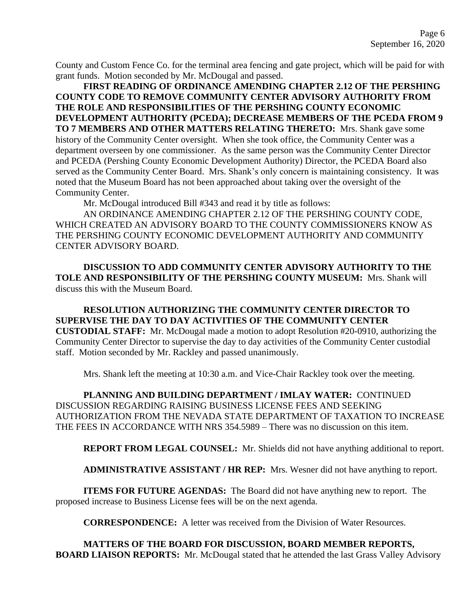County and Custom Fence Co. for the terminal area fencing and gate project, which will be paid for with grant funds. Motion seconded by Mr. McDougal and passed.

**FIRST READING OF ORDINANCE AMENDING CHAPTER 2.12 OF THE PERSHING COUNTY CODE TO REMOVE COMMUNITY CENTER ADVISORY AUTHORITY FROM THE ROLE AND RESPONSIBILITIES OF THE PERSHING COUNTY ECONOMIC DEVELOPMENT AUTHORITY (PCEDA); DECREASE MEMBERS OF THE PCEDA FROM 9 TO 7 MEMBERS AND OTHER MATTERS RELATING THERETO:** Mrs. Shank gave some history of the Community Center oversight. When she took office, the Community Center was a department overseen by one commissioner. As the same person was the Community Center Director and PCEDA (Pershing County Economic Development Authority) Director, the PCEDA Board also served as the Community Center Board. Mrs. Shank's only concern is maintaining consistency. It was noted that the Museum Board has not been approached about taking over the oversight of the Community Center.

Mr. McDougal introduced Bill #343 and read it by title as follows:

AN ORDINANCE AMENDING CHAPTER 2.12 OF THE PERSHING COUNTY CODE, WHICH CREATED AN ADVISORY BOARD TO THE COUNTY COMMISSIONERS KNOW AS THE PERSHING COUNTY ECONOMIC DEVELOPMENT AUTHORITY AND COMMUNITY CENTER ADVISORY BOARD.

**DISCUSSION TO ADD COMMUNITY CENTER ADVISORY AUTHORITY TO THE TOLE AND RESPONSIBILITY OF THE PERSHING COUNTY MUSEUM:** Mrs. Shank will discuss this with the Museum Board.

**RESOLUTION AUTHORIZING THE COMMUNITY CENTER DIRECTOR TO SUPERVISE THE DAY TO DAY ACTIVITIES OF THE COMMUNITY CENTER CUSTODIAL STAFF:** Mr. McDougal made a motion to adopt Resolution #20-0910, authorizing the Community Center Director to supervise the day to day activities of the Community Center custodial staff. Motion seconded by Mr. Rackley and passed unanimously.

Mrs. Shank left the meeting at 10:30 a.m. and Vice-Chair Rackley took over the meeting.

**PLANNING AND BUILDING DEPARTMENT / IMLAY WATER:** CONTINUED DISCUSSION REGARDING RAISING BUSINESS LICENSE FEES AND SEEKING AUTHORIZATION FROM THE NEVADA STATE DEPARTMENT OF TAXATION TO INCREASE THE FEES IN ACCORDANCE WITH NRS 354.5989 – There was no discussion on this item.

**REPORT FROM LEGAL COUNSEL:** Mr. Shields did not have anything additional to report.

**ADMINISTRATIVE ASSISTANT / HR REP:** Mrs. Wesner did not have anything to report.

**ITEMS FOR FUTURE AGENDAS:** The Board did not have anything new to report. The proposed increase to Business License fees will be on the next agenda.

**CORRESPONDENCE:** A letter was received from the Division of Water Resources.

**MATTERS OF THE BOARD FOR DISCUSSION, BOARD MEMBER REPORTS, BOARD LIAISON REPORTS:** Mr. McDougal stated that he attended the last Grass Valley Advisory